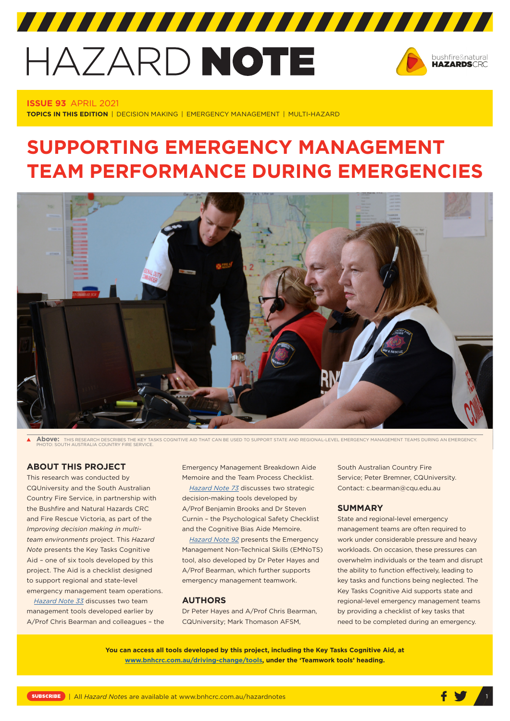# HAZARD NOTE



# **ISSUE 93** APRIL 2021

**TOPICS IN THIS EDITION** | DECISION MAKING | EMERGENCY MANAGEMENT | MULTI-HAZARD

# **SUPPORTING EMERGENCY MANAGEMENT TEAM PERFORMANCE DURING EMERGENCIES**



**Above:** THIS RESEARCH DESCRIBES THE KEY TASKS COGNITIVE AID THAT CAN BE USED TO SUPPORT STATE AND REGIONAL-LEVEL EMERGENCY MANAGEMENT TEAMS DURING AN EMERGENCY. PHOTO: SOUTH AUSTRALIA COUNTRY FIRE SERVICE.

# **ABOUT THIS PROJECT**

This research was conducted by CQUniversity and the South Australian Country Fire Service, in partnership with the Bushfire and Natural Hazards CRC and Fire Rescue Victoria, as part of the *Improving decision making in multiteam environments* project. This *Hazard Note* presents the Key Tasks Cognitive Aid – one of six tools developed by this project. The Aid is a checklist designed to support regional and state-level emergency management team operations.

*[Hazard Note 33](https://www.bnhcrc.com.au/hazardnotes/33)* discusses two team management tools developed earlier by A/Prof Chris Bearman and colleagues – the Emergency Management Breakdown Aide Memoire and the Team Process Checklist.

*[Hazard Note 73](http://www.bnhcrc.com.au/hazardnotes/73)* discusses two strategic decision-making tools developed by A/Prof Benjamin Brooks and Dr Steven Curnin – the Psychological Safety Checklist and the Cognitive Bias Aide Memoire.

*[Hazard Note 92](http://www.bnhcrc.com.au/hazardnotes/92)* presents the Emergency Management Non-Technical Skills (EMNoTS) tool, also developed by Dr Peter Hayes and A/Prof Bearman, which further supports emergency management teamwork.

#### **AUTHORS**

Dr Peter Hayes and A/Prof Chris Bearman, CQUniversity; Mark Thomason AFSM,

South Australian Country Fire Service; Peter Bremner, CQUniversity. Contact: c.bearman@cqu.edu.au

#### **SUMMARY**

State and regional-level emergency management teams are often required to work under considerable pressure and heavy workloads. On occasion, these pressures can overwhelm individuals or the team and disrupt the ability to function effectively, leading to key tasks and functions being neglected. The Key Tasks Cognitive Aid supports state and regional-level emergency management teams by providing a checklist of key tasks that need to be completed during an emergency.

**You can access all tools developed by this project, including the Key Tasks Cognitive Aid, at [www.bnhcrc.com.au/driving-change/tools](http://www.bnhcrc.com.au/driving-change/tools), under the 'Teamwork tools' heading.**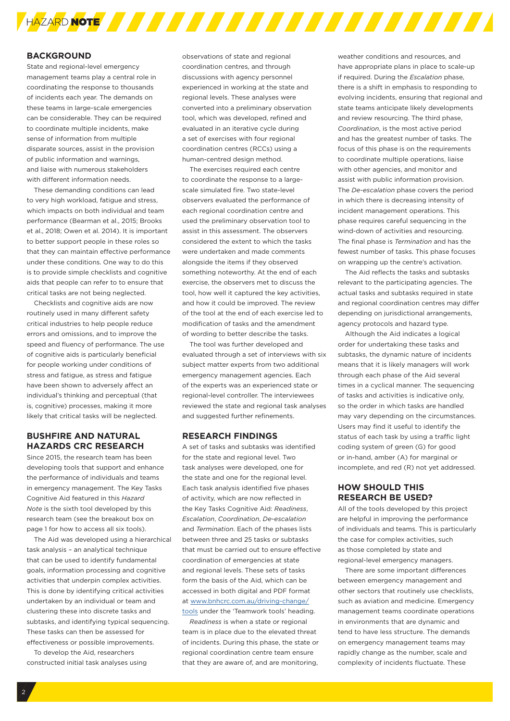

#### **BACKGROUND**

State and regional-level emergency management teams play a central role in coordinating the response to thousands of incidents each year. The demands on these teams in large-scale emergencies can be considerable. They can be required to coordinate multiple incidents, make sense of information from multiple disparate sources, assist in the provision of public information and warnings, and liaise with numerous stakeholders with different information needs.

These demanding conditions can lead to very high workload, fatigue and stress, which impacts on both individual and team performance (Bearman et al., 2015; Brooks et al., 2018; Owen et al. 2014). It is important to better support people in these roles so that they can maintain effective performance under these conditions. One way to do this is to provide simple checklists and cognitive aids that people can refer to to ensure that critical tasks are not being neglected.

Checklists and cognitive aids are now routinely used in many different safety critical industries to help people reduce errors and omissions, and to improve the speed and fluency of performance. The use of cognitive aids is particularly beneficial for people working under conditions of stress and fatigue, as stress and fatigue have been shown to adversely affect an individual's thinking and perceptual (that is, cognitive) processes, making it more likely that critical tasks will be neglected.

## **BUSHFIRE AND NATURAL HAZARDS CRC RESEARCH**

Since 2015, the research team has been developing tools that support and enhance the performance of individuals and teams in emergency management. The Key Tasks Cognitive Aid featured in this *Hazard Note* is the sixth tool developed by this research team (see the breakout box on page 1 for how to access all six tools).

The Aid was developed using a hierarchical task analysis – an analytical technique that can be used to identify fundamental goals, information processing and cognitive activities that underpin complex activities. This is done by identifying critical activities undertaken by an individual or team and clustering these into discrete tasks and subtasks, and identifying typical sequencing. These tasks can then be assessed for effectiveness or possible improvements.

To develop the Aid, researchers constructed initial task analyses using observations of state and regional coordination centres, and through discussions with agency personnel experienced in working at the state and regional levels. These analyses were converted into a preliminary observation tool, which was developed, refined and evaluated in an iterative cycle during a set of exercises with four regional coordination centres (RCCs) using a human-centred design method.

The exercises required each centre to coordinate the response to a largescale simulated fire. Two state-level observers evaluated the performance of each regional coordination centre and used the preliminary observation tool to assist in this assessment. The observers considered the extent to which the tasks were undertaken and made comments alongside the items if they observed something noteworthy. At the end of each exercise, the observers met to discuss the tool, how well it captured the key activities, and how it could be improved. The review of the tool at the end of each exercise led to modification of tasks and the amendment of wording to better describe the tasks.

The tool was further developed and evaluated through a set of interviews with six subject matter experts from two additional emergency management agencies. Each of the experts was an experienced state or regional-level controller. The interviewees reviewed the state and regional task analyses and suggested further refinements.

#### **RESEARCH FINDINGS**

A set of tasks and subtasks was identified for the state and regional level. Two task analyses were developed, one for the state and one for the regional level. Each task analysis identified five phases of activity, which are now reflected in the Key Tasks Cognitive Aid: *Readiness*, *Escalation*, *Coordination*, *De-escalation* and *Termination*. Each of the phases lists between three and 25 tasks or subtasks that must be carried out to ensure effective coordination of emergencies at state and regional levels. These sets of tasks form the basis of the Aid, which can be accessed in both digital and PDF format at www.bnhcrc.com.au/driving-change/ tools under the 'Teamwork tools' heading.

*Readiness* is when a state or regional team is in place due to the elevated threat of incidents. During this phase, the state or regional coordination centre team ensure that they are aware of, and are monitoring,

weather conditions and resources, and have appropriate plans in place to scale-up if required. During the *Escalation* phase, there is a shift in emphasis to responding to evolving incidents, ensuring that regional and state teams anticipate likely developments and review resourcing. The third phase, *Coordination*, is the most active period and has the greatest number of tasks. The focus of this phase is on the requirements to coordinate multiple operations, liaise with other agencies, and monitor and assist with public information provision. The *De-escalation* phase covers the period in which there is decreasing intensity of incident management operations. This phase requires careful sequencing in the wind-down of activities and resourcing. The final phase is *Termination* and has the fewest number of tasks. This phase focuses on wrapping up the centre's activation.

The Aid reflects the tasks and subtasks relevant to the participating agencies. The actual tasks and subtasks required in state and regional coordination centres may differ depending on jurisdictional arrangements, agency protocols and hazard type.

Although the Aid indicates a logical order for undertaking these tasks and subtasks, the dynamic nature of incidents means that it is likely managers will work through each phase of the Aid several times in a cyclical manner. The sequencing of tasks and activities is indicative only, so the order in which tasks are handled may vary depending on the circumstances. Users may find it useful to identify the status of each task by using a traffic light coding system of green (G) for good or in-hand, amber (A) for marginal or incomplete, and red (R) not yet addressed.

### **HOW SHOULD THIS RESEARCH BE USED?**

All of the tools developed by this project are helpful in improving the performance of individuals and teams. This is particularly the case for complex activities, such as those completed by state and regional-level emergency managers.

There are some important differences between emergency management and other sectors that routinely use checklists, such as aviation and medicine. Emergency management teams coordinate operations in environments that are dynamic and tend to have less structure. The demands on emergency management teams may rapidly change as the number, scale and complexity of incidents fluctuate. These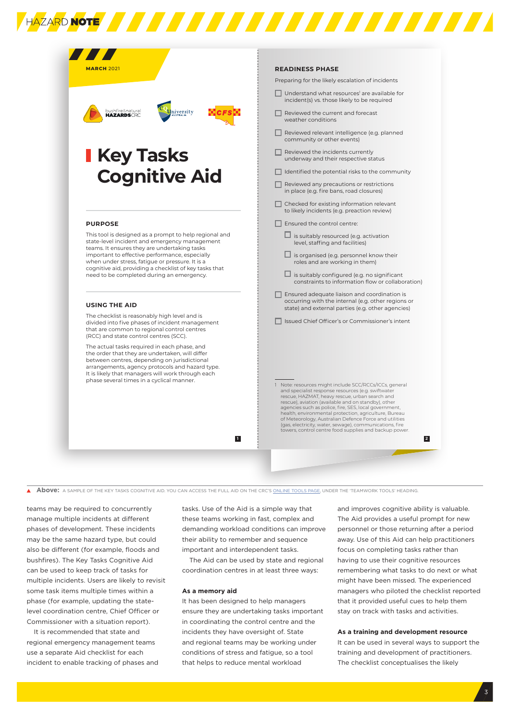| <b>MARCH 2021</b>                                                                                                                                                                                                                                                                                                                                                   | <b>READINESS PHASE</b>                                                                                                                                                                                                                                                                                                                                                                                                                                                                                                              |
|---------------------------------------------------------------------------------------------------------------------------------------------------------------------------------------------------------------------------------------------------------------------------------------------------------------------------------------------------------------------|-------------------------------------------------------------------------------------------------------------------------------------------------------------------------------------------------------------------------------------------------------------------------------------------------------------------------------------------------------------------------------------------------------------------------------------------------------------------------------------------------------------------------------------|
|                                                                                                                                                                                                                                                                                                                                                                     | Preparing for the likely escalation of incidents                                                                                                                                                                                                                                                                                                                                                                                                                                                                                    |
| bushfire♮<br>HAZARDSCRC<br><b>University</b>                                                                                                                                                                                                                                                                                                                        | $\Box$ Understand what resources' are available for<br>incident(s) vs. those likely to be required                                                                                                                                                                                                                                                                                                                                                                                                                                  |
|                                                                                                                                                                                                                                                                                                                                                                     | Reviewed the current and forecast<br>weather conditions                                                                                                                                                                                                                                                                                                                                                                                                                                                                             |
|                                                                                                                                                                                                                                                                                                                                                                     | Reviewed relevant intelligence (e.g. planned<br>community or other events)                                                                                                                                                                                                                                                                                                                                                                                                                                                          |
| <b>I Key Tasks</b>                                                                                                                                                                                                                                                                                                                                                  | Reviewed the incidents currently<br>underway and their respective status                                                                                                                                                                                                                                                                                                                                                                                                                                                            |
| <b>Cognitive Aid</b>                                                                                                                                                                                                                                                                                                                                                | $\Box$ Identified the potential risks to the community                                                                                                                                                                                                                                                                                                                                                                                                                                                                              |
|                                                                                                                                                                                                                                                                                                                                                                     | $\Box$ Reviewed any precautions or restrictions<br>in place (e.g. fire bans, road closures)                                                                                                                                                                                                                                                                                                                                                                                                                                         |
|                                                                                                                                                                                                                                                                                                                                                                     | $\Box$ Checked for existing information relevant<br>to likely incidents (e.g. preaction review)                                                                                                                                                                                                                                                                                                                                                                                                                                     |
| <b>PURPOSE</b>                                                                                                                                                                                                                                                                                                                                                      | $\Box$ Ensured the control centre:                                                                                                                                                                                                                                                                                                                                                                                                                                                                                                  |
| This tool is designed as a prompt to help regional and<br>state-level incident and emergency management<br>teams. It ensures they are undertaking tasks<br>important to effective performance, especially<br>when under stress, fatigue or pressure. It is a<br>cognitive aid, providing a checklist of key tasks that<br>need to be completed during an emergency. | $\Box$ is suitably resourced (e.g. activation<br>level, staffing and facilities)<br>$\Box$ is organised (e.g. personnel know their<br>roles and are working in them)                                                                                                                                                                                                                                                                                                                                                                |
|                                                                                                                                                                                                                                                                                                                                                                     | $\Box$ is suitably configured (e.g. no significant<br>constraints to information flow or collaboration)                                                                                                                                                                                                                                                                                                                                                                                                                             |
| <b>USING THE AID</b>                                                                                                                                                                                                                                                                                                                                                | $\Box$ Ensured adequate liaison and coordination is<br>occurring with the internal (e.g. other regions or                                                                                                                                                                                                                                                                                                                                                                                                                           |
| The checklist is reasonably high level and is<br>divided into five phases of incident management<br>that are common to regional control centres<br>(RCC) and state control centres (SCC).                                                                                                                                                                           | state) and external parties (e.g. other agencies)<br>Issued Chief Officer's or Commissioner's intent                                                                                                                                                                                                                                                                                                                                                                                                                                |
| The actual tasks required in each phase, and<br>the order that they are undertaken, will differ<br>between centres, depending on jurisdictional<br>arrangements, agency protocols and hazard type.<br>It is likely that managers will work through each<br>phase several times in a cyclical manner.<br>п                                                           |                                                                                                                                                                                                                                                                                                                                                                                                                                                                                                                                     |
|                                                                                                                                                                                                                                                                                                                                                                     | 1 Note: resources might include SCC/RCCs/ICCs, general<br>and specialist response resources (e.g. swiftwater<br>rescue, HAZMAT, heavy rescue, urban search and<br>rescue), aviation (available and on standby), other<br>agencies such as police, fire, SES, local government,<br>health, environmental protection, agriculture, Bureau<br>of Meteorology, Australian Defence Force and utilities<br>(gas, electricity, water, sewage), communications, fire<br>towers, control centre food supplies and backup power.<br>$\vert$ 2 |

**A BOOVE:** A SAMPLE OF THE KEY TASKS COGNITIVE AID. YOU CAN ACCESS THE FULL AID ON THE CRC'S [ONLINE TOOLS PAGE,](http://www.bnhcrc.com.au/driving-change/tools) UNDER THE 'TEAMWORK TOOLS' HEADING.

teams may be required to concurrently manage multiple incidents at different phases of development. These incidents may be the same hazard type, but could also be different (for example, floods and bushfires). The Key Tasks Cognitive Aid can be used to keep track of tasks for multiple incidents. Users are likely to revisit some task items multiple times within a phase (for example, updating the statelevel coordination centre, Chief Officer or Commissioner with a situation report).

It is recommended that state and regional emergency management teams use a separate Aid checklist for each incident to enable tracking of phases and tasks. Use of the Aid is a simple way that these teams working in fast, complex and demanding workload conditions can improve their ability to remember and sequence important and interdependent tasks.

The Aid can be used by state and regional coordination centres in at least three ways:

#### **As a memory aid**

It has been designed to help managers ensure they are undertaking tasks important in coordinating the control centre and the incidents they have oversight of. State and regional teams may be working under conditions of stress and fatigue, so a tool that helps to reduce mental workload

and improves cognitive ability is valuable. The Aid provides a useful prompt for new personnel or those returning after a period away. Use of this Aid can help practitioners focus on completing tasks rather than having to use their cognitive resources remembering what tasks to do next or what might have been missed. The experienced managers who piloted the checklist reported that it provided useful cues to help them stay on track with tasks and activities.

#### **As a training and development resource**

It can be used in several ways to support the training and development of practitioners. The checklist conceptualises the likely